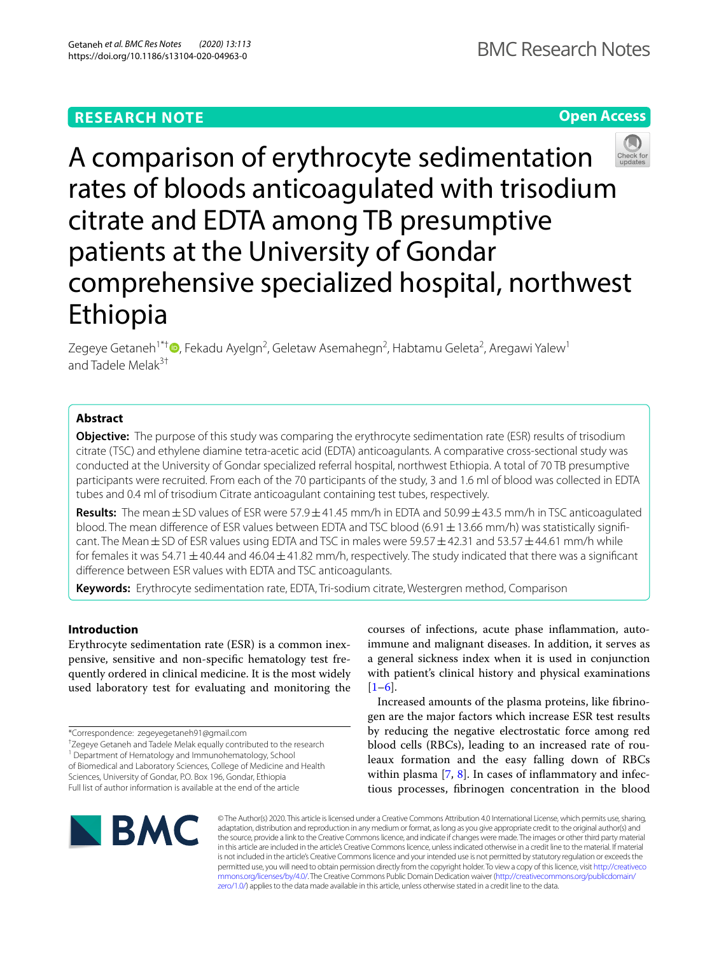# **RESEARCH NOTE**

**Open Access**



A comparison of erythrocyte sedimentation rates of bloods anticoagulated with trisodium citrate and EDTA among TB presumptive patients at the University of Gondar comprehensive specialized hospital, northwest Ethiopia

Zegeye Getaneh<sup>1\*†</sup>®[,](http://orcid.org/0000-0002-8239-8491) Fekadu Ayelgn<sup>2</sup>, Geletaw Asemahegn<sup>2</sup>, Habtamu Geleta<sup>2</sup>, Aregawi Yalew<sup>1</sup> and Tadele Melak3†

## **Abstract**

**Objective:** The purpose of this study was comparing the erythrocyte sedimentation rate (ESR) results of trisodium citrate (TSC) and ethylene diamine tetra-acetic acid (EDTA) anticoagulants. A comparative cross-sectional study was conducted at the University of Gondar specialized referral hospital, northwest Ethiopia. A total of 70 TB presumptive participants were recruited. From each of the 70 participants of the study, 3 and 1.6 ml of blood was collected in EDTA tubes and 0.4 ml of trisodium Citrate anticoagulant containing test tubes, respectively.

**Results:** The mean±SD values of ESR were 57.9±41.45 mm/h in EDTA and 50.99±43.5 mm/h in TSC anticoagulated blood. The mean difference of ESR values between EDTA and TSC blood (6.91  $\pm$  13.66 mm/h) was statistically significant. The Mean  $\pm$  SD of ESR values using EDTA and TSC in males were 59.57  $\pm$  42.31 and 53.57  $\pm$  44.61 mm/h while for females it was 54.71  $\pm$  40.44 and 46.04  $\pm$  41.82 mm/h, respectively. The study indicated that there was a significant diference between ESR values with EDTA and TSC anticoagulants.

**Keywords:** Erythrocyte sedimentation rate, EDTA, Tri-sodium citrate, Westergren method, Comparison

## **Introduction**

Erythrocyte sedimentation rate (ESR) is a common inexpensive, sensitive and non-specifc hematology test frequently ordered in clinical medicine. It is the most widely used laboratory test for evaluating and monitoring the

† Zegeye Getaneh and Tadele Melak equally contributed to the research

<sup>1</sup> Department of Hematology and Immunohematology, School of Biomedical and Laboratory Sciences, College of Medicine and Health

Sciences, University of Gondar, P.O. Box 196, Gondar, Ethiopia Full list of author information is available at the end of the article courses of infections, acute phase infammation, autoimmune and malignant diseases. In addition, it serves as a general sickness index when it is used in conjunction with patient's clinical history and physical examinations  $[1-6]$  $[1-6]$ .

Increased amounts of the plasma proteins, like fbrinogen are the major factors which increase ESR test results by reducing the negative electrostatic force among red blood cells (RBCs), leading to an increased rate of rouleaux formation and the easy falling down of RBCs within plasma [[7,](#page-4-2) [8\]](#page-4-3). In cases of inflammatory and infectious processes, fbrinogen concentration in the blood



© The Author(s) 2020. This article is licensed under a Creative Commons Attribution 4.0 International License, which permits use, sharing, adaptation, distribution and reproduction in any medium or format, as long as you give appropriate credit to the original author(s) and the source, provide a link to the Creative Commons licence, and indicate if changes were made. The images or other third party material in this article are included in the article's Creative Commons licence, unless indicated otherwise in a credit line to the material. If material is not included in the article's Creative Commons licence and your intended use is not permitted by statutory regulation or exceeds the permitted use, you will need to obtain permission directly from the copyright holder. To view a copy of this licence, visit [http://creativeco](http://creativecommons.org/licenses/by/4.0/) [mmons.org/licenses/by/4.0/.](http://creativecommons.org/licenses/by/4.0/) The Creative Commons Public Domain Dedication waiver ([http://creativecommons.org/publicdomain/](http://creativecommons.org/publicdomain/zero/1.0/) [zero/1.0/\)](http://creativecommons.org/publicdomain/zero/1.0/) applies to the data made available in this article, unless otherwise stated in a credit line to the data.

<sup>\*</sup>Correspondence: zegeyegetaneh91@gmail.com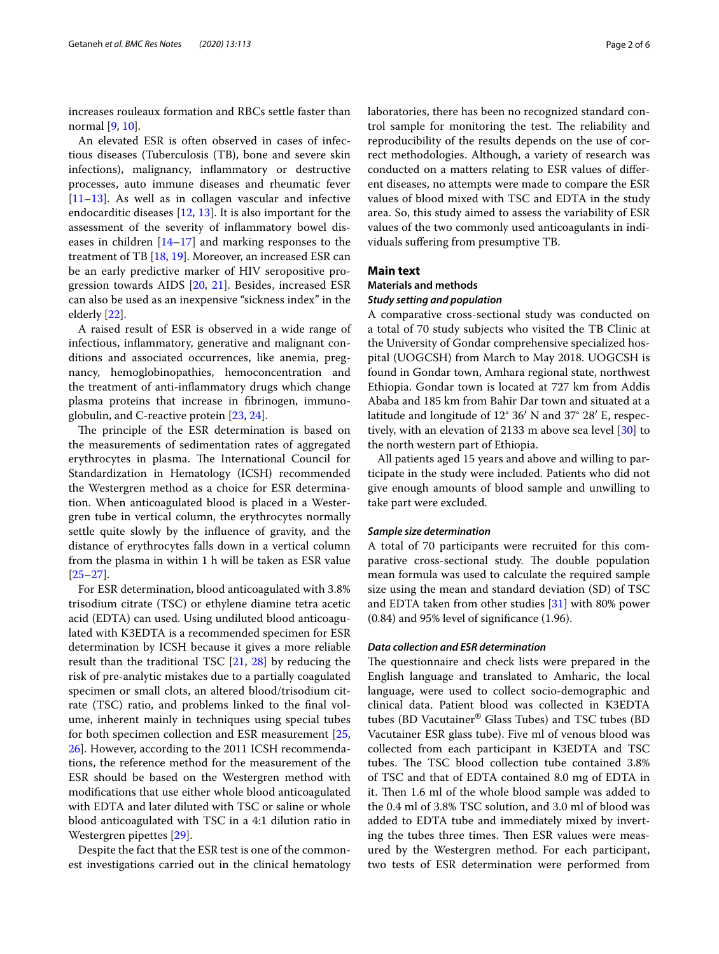increases rouleaux formation and RBCs settle faster than normal [[9,](#page-4-4) [10](#page-4-5)].

An elevated ESR is often observed in cases of infectious diseases (Tuberculosis (TB), bone and severe skin infections), malignancy, infammatory or destructive processes, auto immune diseases and rheumatic fever [[11–](#page-4-6)[13](#page-4-7)]. As well as in collagen vascular and infective endocarditic diseases [[12](#page-4-8), [13](#page-4-7)]. It is also important for the assessment of the severity of infammatory bowel diseases in children [[14](#page-4-9)[–17](#page-4-10)] and marking responses to the treatment of TB [[18](#page-4-11), [19\]](#page-4-12). Moreover, an increased ESR can be an early predictive marker of HIV seropositive progression towards AIDS [[20,](#page-4-13) [21](#page-4-14)]. Besides, increased ESR can also be used as an inexpensive "sickness index" in the elderly [[22](#page-4-15)].

A raised result of ESR is observed in a wide range of infectious, infammatory, generative and malignant conditions and associated occurrences, like anemia, pregnancy, hemoglobinopathies, hemoconcentration and the treatment of anti-infammatory drugs which change plasma proteins that increase in fbrinogen, immunoglobulin, and C-reactive protein [\[23](#page-5-0), [24](#page-5-1)].

The principle of the ESR determination is based on the measurements of sedimentation rates of aggregated erythrocytes in plasma. The International Council for Standardization in Hematology (ICSH) recommended the Westergren method as a choice for ESR determination. When anticoagulated blood is placed in a Westergren tube in vertical column, the erythrocytes normally settle quite slowly by the infuence of gravity, and the distance of erythrocytes falls down in a vertical column from the plasma in within 1 h will be taken as ESR value [[25–](#page-5-2)[27](#page-5-3)].

For ESR determination, blood anticoagulated with 3.8% trisodium citrate (TSC) or ethylene diamine tetra acetic acid (EDTA) can used. Using undiluted blood anticoagulated with K3EDTA is a recommended specimen for ESR determination by ICSH because it gives a more reliable result than the traditional TSC [[21,](#page-4-14) [28](#page-5-4)] by reducing the risk of pre-analytic mistakes due to a partially coagulated specimen or small clots, an altered blood/trisodium citrate (TSC) ratio, and problems linked to the fnal volume, inherent mainly in techniques using special tubes for both specimen collection and ESR measurement [\[25](#page-5-2), [26\]](#page-5-5). However, according to the 2011 ICSH recommendations, the reference method for the measurement of the ESR should be based on the Westergren method with modifcations that use either whole blood anticoagulated with EDTA and later diluted with TSC or saline or whole blood anticoagulated with TSC in a 4:1 dilution ratio in Westergren pipettes [\[29](#page-5-6)].

Despite the fact that the ESR test is one of the commonest investigations carried out in the clinical hematology laboratories, there has been no recognized standard control sample for monitoring the test. The reliability and reproducibility of the results depends on the use of correct methodologies. Although, a variety of research was conducted on a matters relating to ESR values of diferent diseases, no attempts were made to compare the ESR values of blood mixed with TSC and EDTA in the study area. So, this study aimed to assess the variability of ESR values of the two commonly used anticoagulants in individuals sufering from presumptive TB.

## **Main text**

# **Materials and methods**

## *Study setting and population*

A comparative cross-sectional study was conducted on a total of 70 study subjects who visited the TB Clinic at the University of Gondar comprehensive specialized hospital (UOGCSH) from March to May 2018. UOGCSH is found in Gondar town, Amhara regional state, northwest Ethiopia. Gondar town is located at 727 km from Addis Ababa and 185 km from Bahir Dar town and situated at a latitude and longitude of 12° 36′ N and 37° 28′ E, respectively, with an elevation of 2133 m above sea level [[30](#page-5-7)] to the north western part of Ethiopia.

All patients aged 15 years and above and willing to participate in the study were included. Patients who did not give enough amounts of blood sample and unwilling to take part were excluded.

## *Sample size determination*

A total of 70 participants were recruited for this comparative cross-sectional study. The double population mean formula was used to calculate the required sample size using the mean and standard deviation (SD) of TSC and EDTA taken from other studies [\[31](#page-5-8)] with 80% power (0.84) and 95% level of signifcance (1.96).

## *Data collection and ESR determination*

The questionnaire and check lists were prepared in the English language and translated to Amharic, the local language, were used to collect socio-demographic and clinical data. Patient blood was collected in K3EDTA tubes (BD Vacutainer® Glass Tubes) and TSC tubes (BD Vacutainer ESR glass tube). Five ml of venous blood was collected from each participant in K3EDTA and TSC tubes. The TSC blood collection tube contained 3.8% of TSC and that of EDTA contained 8.0 mg of EDTA in it. Then 1.6 ml of the whole blood sample was added to the 0.4 ml of 3.8% TSC solution, and 3.0 ml of blood was added to EDTA tube and immediately mixed by inverting the tubes three times. Then ESR values were measured by the Westergren method. For each participant, two tests of ESR determination were performed from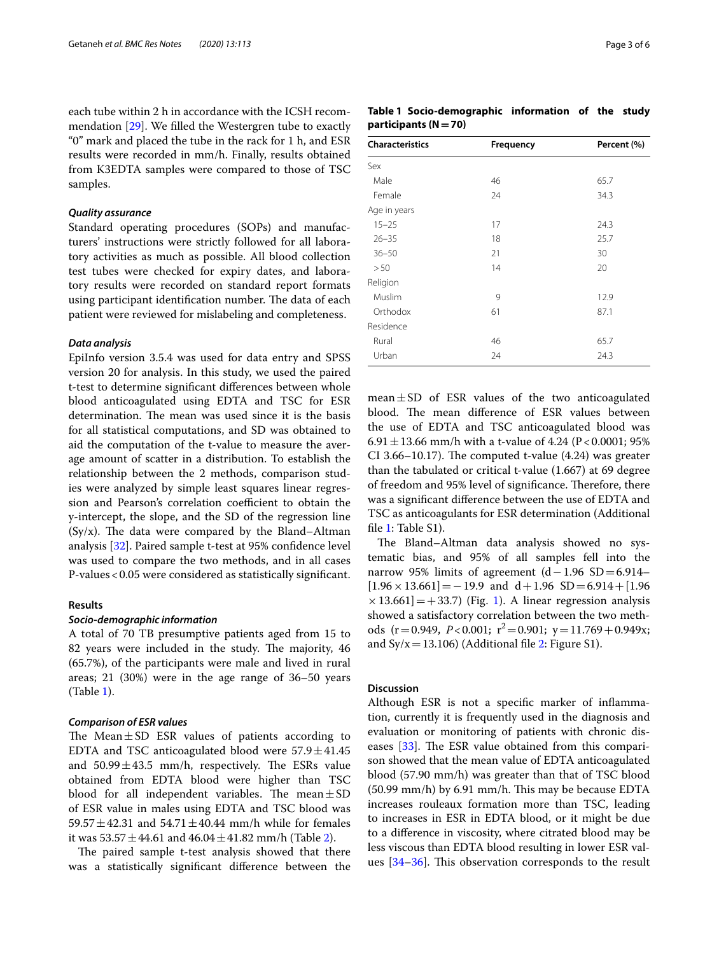each tube within 2 h in accordance with the ICSH recommendation [[29\]](#page-5-6). We flled the Westergren tube to exactly "0" mark and placed the tube in the rack for 1 h, and ESR results were recorded in mm/h. Finally, results obtained from K3EDTA samples were compared to those of TSC samples.

## *Quality assurance*

Standard operating procedures (SOPs) and manufacturers' instructions were strictly followed for all laboratory activities as much as possible. All blood collection test tubes were checked for expiry dates, and laboratory results were recorded on standard report formats using participant identification number. The data of each patient were reviewed for mislabeling and completeness.

## *Data analysis*

EpiInfo version 3.5.4 was used for data entry and SPSS version 20 for analysis. In this study, we used the paired t-test to determine signifcant diferences between whole blood anticoagulated using EDTA and TSC for ESR determination. The mean was used since it is the basis for all statistical computations, and SD was obtained to aid the computation of the t-value to measure the average amount of scatter in a distribution. To establish the relationship between the 2 methods, comparison studies were analyzed by simple least squares linear regression and Pearson's correlation coefficient to obtain the y-intercept, the slope, and the SD of the regression line (Sy/x). The data were compared by the Bland-Altman analysis [\[32\]](#page-5-9). Paired sample t-test at 95% confdence level was used to compare the two methods, and in all cases P-values<0.05 were considered as statistically signifcant.

## **Results**

## *Socio‑demographic information*

A total of 70 TB presumptive patients aged from 15 to 82 years were included in the study. The majority, 46 (65.7%), of the participants were male and lived in rural areas; 21 (30%) were in the age range of 36–50 years (Table [1](#page-2-0)).

## *Comparison of ESR values*

The Mean $\pm$ SD ESR values of patients according to EDTA and TSC anticoagulated blood were  $57.9 \pm 41.45$ and  $50.99 \pm 43.5$  mm/h, respectively. The ESRs value obtained from EDTA blood were higher than TSC blood for all independent variables. The mean $\pm$ SD of ESR value in males using EDTA and TSC blood was  $59.57 \pm 42.31$  and  $54.71 \pm 40.44$  mm/h while for females it was  $53.57 \pm 44.61$  and  $46.04 \pm 41.82$  mm/h (Table [2](#page-3-0)).

The paired sample t-test analysis showed that there was a statistically signifcant diference between the

<span id="page-2-0"></span>**Table 1 Socio-demographic information of the study participants (N=70)**

| <b>Characteristics</b> | Frequency | Percent (%) |  |
|------------------------|-----------|-------------|--|
| Sex                    |           |             |  |
| Male                   | 46        | 65.7        |  |
| Female                 | 24        | 34.3        |  |
| Age in years           |           |             |  |
| $15 - 25$              | 17        | 24.3        |  |
| $26 - 35$              | 18        | 25.7        |  |
| $36 - 50$              | 21        | 30          |  |
| > 50                   | 14        | 20          |  |
| Religion               |           |             |  |
| Muslim                 | 9         | 12.9        |  |
| Orthodox               | 61        | 87.1        |  |
| Residence              |           |             |  |
| Rural                  | 46        | 65.7        |  |
| Urban                  | 24        | 24.3        |  |
|                        |           |             |  |

mean $\pm$ SD of ESR values of the two anticoagulated blood. The mean difference of ESR values between the use of EDTA and TSC anticoagulated blood was 6.91  $\pm$  13.66 mm/h with a t-value of 4.24 (P < 0.0001; 95%) CI 3.66–10.17). The computed t-value  $(4.24)$  was greater than the tabulated or critical t-value (1.667) at 69 degree of freedom and 95% level of significance. Therefore, there was a signifcant diference between the use of EDTA and TSC as anticoagulants for ESR determination (Additional file [1](#page-4-16): Table S1).

The Bland–Altman data analysis showed no systematic bias, and 95% of all samples fell into the narrow 95% limits of agreement (d−1.96 SD=6.914–  $[1.96 \times 13.661] = -19.9$  and d+1.96 SD=6.914+ [1.96  $\times$  [1](#page-3-1)3.661] = +33.7) (Fig. 1). A linear regression analysis showed a satisfactory correlation between the two methods  $(r=0.949, P<0.001; r^2=0.901; y=11.769+0.949x;$ and  $Sy/x = 13.106$ ) (Additional file [2](#page-4-17): Figure S1).

### **Discussion**

Although ESR is not a specifc marker of infammation, currently it is frequently used in the diagnosis and evaluation or monitoring of patients with chronic diseases  $[33]$  $[33]$ . The ESR value obtained from this comparison showed that the mean value of EDTA anticoagulated blood (57.90 mm/h) was greater than that of TSC blood (50.99 mm/h) by 6.91 mm/h. This may be because EDTA increases rouleaux formation more than TSC, leading to increases in ESR in EDTA blood, or it might be due to a diference in viscosity, where citrated blood may be less viscous than EDTA blood resulting in lower ESR values  $[34-36]$  $[34-36]$  $[34-36]$ . This observation corresponds to the result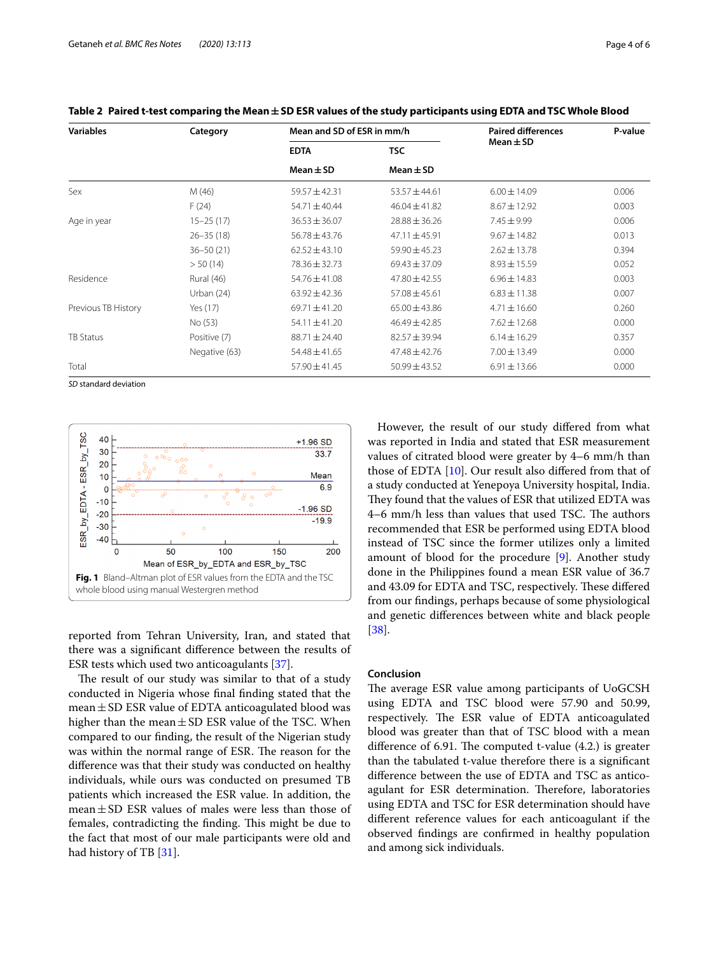| <b>Variables</b>    | Category          | Mean and SD of ESR in mm/h   |                             | <b>Paired differences</b> | P-value |
|---------------------|-------------------|------------------------------|-----------------------------|---------------------------|---------|
|                     |                   | <b>EDTA</b><br>$Mean \pm SD$ | <b>TSC</b><br>$Mean \pm SD$ | $Mean \pm SD$             |         |
|                     |                   |                              |                             |                           |         |
| F(24)               | 54.71 ± 40.44     | $46.04 \pm 41.82$            | $8.67 \pm 12.92$            | 0.003                     |         |
| Age in year         | $15 - 25(17)$     | $36.53 \pm 36.07$            | $28.88 \pm 36.26$           | $7.45 \pm 9.99$           | 0.006   |
|                     | $26 - 35(18)$     | $56.78 \pm 43.76$            | $47.11 \pm 45.91$           | $9.67 \pm 14.82$          | 0.013   |
|                     | $36 - 50(21)$     | $62.52 \pm 43.10$            | $59.90 \pm 45.23$           | $2.62 \pm 13.78$          | 0.394   |
|                     | > 50(14)          | $78.36 \pm 32.73$            | $69.43 \pm 37.09$           | $8.93 \pm 15.59$          | 0.052   |
| Residence           | <b>Rural</b> (46) | 54.76 ± 41.08                | $47.80 \pm 42.55$           | $6.96 \pm 14.83$          | 0.003   |
|                     | Urban $(24)$      | $63.92 \pm 42.36$            | $57.08 \pm 45.61$           | $6.83 \pm 11.38$          | 0.007   |
| Previous TB History | Yes (17)          | $69.71 \pm 41.20$            | $65.00 \pm 43.86$           | $4.71 \pm 16.60$          | 0.260   |
|                     | No (53)           | $54.11 \pm 41.20$            | $46.49 \pm 42.85$           | $7.62 \pm 12.68$          | 0.000   |
| <b>TB Status</b>    | Positive (7)      | 88.71 ± 24.40                | $82.57 \pm 39.94$           | $6.14 \pm 16.29$          | 0.357   |
|                     | Negative (63)     | $54.48 \pm 41.65$            | $47.48 \pm 42.76$           | $7.00 \pm 13.49$          | 0.000   |
| Total               |                   | $57.90 \pm 41.45$            | $50.99 \pm 43.52$           | $6.91 \pm 13.66$          | 0.000   |

<span id="page-3-0"></span>

| Table 2 Paired t-test comparing the Mean ± SD ESR values of the study participants using EDTA and TSC Whole Blood |  |
|-------------------------------------------------------------------------------------------------------------------|--|
|-------------------------------------------------------------------------------------------------------------------|--|

*SD* standard deviation



<span id="page-3-1"></span>reported from Tehran University, Iran, and stated that there was a signifcant diference between the results of ESR tests which used two anticoagulants [[37\]](#page-5-13).

The result of our study was similar to that of a study conducted in Nigeria whose fnal fnding stated that the mean $\pm$ SD ESR value of EDTA anticoagulated blood was higher than the mean $\pm$ SD ESR value of the TSC. When compared to our fnding, the result of the Nigerian study was within the normal range of ESR. The reason for the diference was that their study was conducted on healthy individuals, while ours was conducted on presumed TB patients which increased the ESR value. In addition, the mean±SD ESR values of males were less than those of females, contradicting the finding. This might be due to the fact that most of our male participants were old and had history of TB [[31](#page-5-8)].

However, the result of our study difered from what was reported in India and stated that ESR measurement values of citrated blood were greater by 4–6 mm/h than those of EDTA [[10\]](#page-4-5). Our result also difered from that of a study conducted at Yenepoya University hospital, India. They found that the values of ESR that utilized EDTA was 4–6 mm/h less than values that used TSC. The authors recommended that ESR be performed using EDTA blood instead of TSC since the former utilizes only a limited amount of blood for the procedure [\[9](#page-4-4)]. Another study done in the Philippines found a mean ESR value of 36.7 and 43.09 for EDTA and TSC, respectively. These differed from our fndings, perhaps because of some physiological and genetic diferences between white and black people [[38\]](#page-5-14).

## **Conclusion**

The average ESR value among participants of UoGCSH using EDTA and TSC blood were 57.90 and 50.99, respectively. The ESR value of EDTA anticoagulated blood was greater than that of TSC blood with a mean difference of 6.91. The computed t-value  $(4.2)$  is greater than the tabulated t-value therefore there is a signifcant diference between the use of EDTA and TSC as anticoagulant for ESR determination. Therefore, laboratories using EDTA and TSC for ESR determination should have diferent reference values for each anticoagulant if the observed fndings are confrmed in healthy population and among sick individuals.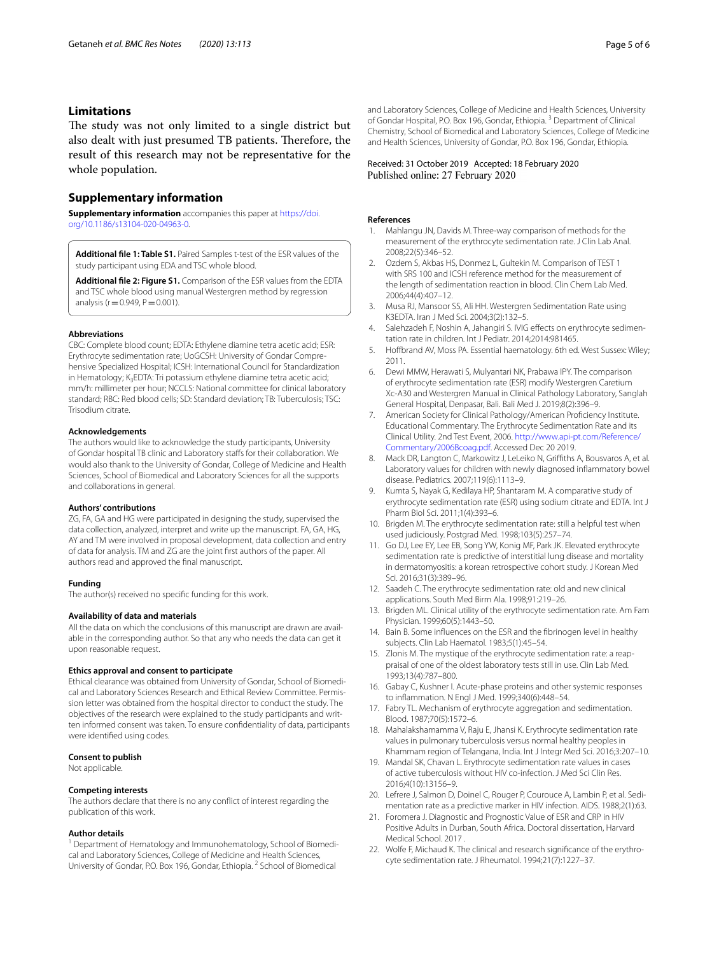## **Limitations**

The study was not only limited to a single district but also dealt with just presumed TB patients. Therefore, the result of this research may not be representative for the whole population.

## **Supplementary information**

**Supplementary information** accompanies this paper at [https://doi.](https://doi.org/10.1186/s13104-020-04963-0) [org/10.1186/s13104-020-04963-0](https://doi.org/10.1186/s13104-020-04963-0).

<span id="page-4-17"></span><span id="page-4-16"></span>**Additional fle 1: Table S1.** Paired Samples t-test of the ESR values of the study participant using EDA and TSC whole blood.

**Additional fle 2: Figure S1.** Comparison of the ESR values from the EDTA and TSC whole blood using manual Westergren method by regression analysis ( $r = 0.949$ ,  $P = 0.001$ ).

## **Abbreviations**

CBC: Complete blood count; EDTA: Ethylene diamine tetra acetic acid; ESR: Erythrocyte sedimentation rate; UoGCSH: University of Gondar Comprehensive Specialized Hospital; ICSH: International Council for Standardization in Hematology; K<sub>3</sub>EDTA: Tri potassium ethylene diamine tetra acetic acid; mm/h: millimeter per hour; NCCLS: National committee for clinical laboratory standard; RBC: Red blood cells; SD: Standard deviation; TB: Tuberculosis; TSC: Trisodium citrate.

#### **Acknowledgements**

The authors would like to acknowledge the study participants, University of Gondar hospital TB clinic and Laboratory stafs for their collaboration. We would also thank to the University of Gondar, College of Medicine and Health Sciences, School of Biomedical and Laboratory Sciences for all the supports and collaborations in general.

#### **Authors' contributions**

ZG, FA, GA and HG were participated in designing the study, supervised the data collection, analyzed, interpret and write up the manuscript. FA, GA, HG, AY and TM were involved in proposal development, data collection and entry of data for analysis. TM and ZG are the joint frst authors of the paper. All authors read and approved the fnal manuscript.

#### **Funding**

The author(s) received no specifc funding for this work.

## **Availability of data and materials**

All the data on which the conclusions of this manuscript are drawn are available in the corresponding author. So that any who needs the data can get it upon reasonable request.

#### **Ethics approval and consent to participate**

Ethical clearance was obtained from University of Gondar, School of Biomedical and Laboratory Sciences Research and Ethical Review Committee. Permission letter was obtained from the hospital director to conduct the study. The objectives of the research were explained to the study participants and written informed consent was taken. To ensure confdentiality of data, participants were identifed using codes.

## **Consent to publish**

Not applicable.

#### **Competing interests**

The authors declare that there is no any confict of interest regarding the publication of this work.

#### **Author details**

<sup>1</sup> Department of Hematology and Immunohematology, School of Biomedical and Laboratory Sciences, College of Medicine and Health Sciences, University of Gondar, P.O. Box 196, Gondar, Ethiopia.<sup>2</sup> School of Biomedical

Received: 31 October 2019 Accepted: 18 February 2020 Published online: 27 February 2020

#### **References**

- <span id="page-4-0"></span>1. Mahlangu JN, Davids M. Three-way comparison of methods for the measurement of the erythrocyte sedimentation rate. J Clin Lab Anal. 2008;22(5):346–52.
- 2. Ozdem S, Akbas HS, Donmez L, Gultekin M. Comparison of TEST 1 with SRS 100 and ICSH reference method for the measurement of the length of sedimentation reaction in blood. Clin Chem Lab Med. 2006;44(4):407–12.
- 3. Musa RJ, Mansoor SS, Ali HH. Westergren Sedimentation Rate using K3EDTA. Iran J Med Sci. 2004;3(2):132–5.
- 4. Salehzadeh F, Noshin A, Jahangiri S. IVIG efects on erythrocyte sedimentation rate in children. Int J Pediatr. 2014;2014:981465.
- 5. Hofbrand AV, Moss PA. Essential haematology. 6th ed. West Sussex: Wiley; 2011.
- <span id="page-4-1"></span>6. Dewi MMW, Herawati S, Mulyantari NK, Prabawa IPY. The comparison of erythrocyte sedimentation rate (ESR) modify Westergren Caretium Xc-A30 and Westergren Manual in Clinical Pathology Laboratory, Sanglah General Hospital, Denpasar, Bali. Bali Med J. 2019;8(2):396–9.
- <span id="page-4-2"></span>7. American Society for Clinical Pathology/American Profciency Institute. Educational Commentary. The Erythrocyte Sedimentation Rate and its Clinical Utility. 2nd Test Event, 2006. [http://www.api-pt.com/Reference/](http://www.api-pt.com/Reference/Commentary/2006Bcoag.pdf) [Commentary/2006Bcoag.pdf](http://www.api-pt.com/Reference/Commentary/2006Bcoag.pdf). Accessed Dec 20 2019.
- <span id="page-4-3"></span>8. Mack DR, Langton C, Markowitz J, LeLeiko N, Griffiths A, Bousvaros A, et al. Laboratory values for children with newly diagnosed infammatory bowel disease. Pediatrics. 2007;119(6):1113–9.
- <span id="page-4-4"></span>9. Kumta S, Nayak G, Kedilaya HP, Shantaram M. A comparative study of erythrocyte sedimentation rate (ESR) using sodium citrate and EDTA. Int J Pharm Biol Sci. 2011;1(4):393–6.
- <span id="page-4-5"></span>10. Brigden M. The erythrocyte sedimentation rate: still a helpful test when used judiciously. Postgrad Med. 1998;103(5):257–74.
- <span id="page-4-6"></span>11. Go DJ, Lee EY, Lee EB, Song YW, Konig MF, Park JK. Elevated erythrocyte sedimentation rate is predictive of interstitial lung disease and mortality in dermatomyositis: a korean retrospective cohort study. J Korean Med Sci. 2016;31(3):389–96.
- <span id="page-4-8"></span>12. Saadeh C. The erythrocyte sedimentation rate: old and new clinical applications. South Med Birm Ala. 1998;91:219–26.
- <span id="page-4-7"></span>13. Brigden ML. Clinical utility of the erythrocyte sedimentation rate. Am Fam Physician. 1999;60(5):1443–50.
- <span id="page-4-9"></span>14. Bain B. Some infuences on the ESR and the fbrinogen level in healthy subjects. Clin Lab Haematol. 1983;5(1):45–54.
- 15. Zlonis M. The mystique of the erythrocyte sedimentation rate: a reappraisal of one of the oldest laboratory tests still in use. Clin Lab Med. 1993;13(4):787–800.
- 16. Gabay C, Kushner I. Acute-phase proteins and other systemic responses to infammation. N Engl J Med. 1999;340(6):448–54.
- <span id="page-4-10"></span>17. Fabry TL. Mechanism of erythrocyte aggregation and sedimentation. Blood. 1987;70(5):1572–6.
- <span id="page-4-11"></span>18. Mahalakshamamma V, Raju E, Jhansi K. Erythrocyte sedimentation rate values in pulmonary tuberculosis versus normal healthy peoples in Khammam region of Telangana, India. Int J Integr Med Sci. 2016;3:207–10.
- <span id="page-4-12"></span>19. Mandal SK, Chavan L. Erythrocyte sedimentation rate values in cases of active tuberculosis without HIV co-infection. J Med Sci Clin Res. 2016;4(10):13156–9.
- <span id="page-4-13"></span>20. Lefrere J, Salmon D, Doinel C, Rouger P, Courouce A, Lambin P, et al. Sedimentation rate as a predictive marker in HIV infection. AIDS. 1988;2(1):63.
- <span id="page-4-14"></span>21. Foromera J. Diagnostic and Prognostic Value of ESR and CRP in HIV Positive Adults in Durban, South Africa. Doctoral dissertation, Harvard Medical School. 2017
- <span id="page-4-15"></span>22. Wolfe F, Michaud K. The clinical and research signifcance of the erythrocyte sedimentation rate. J Rheumatol. 1994;21(7):1227–37.